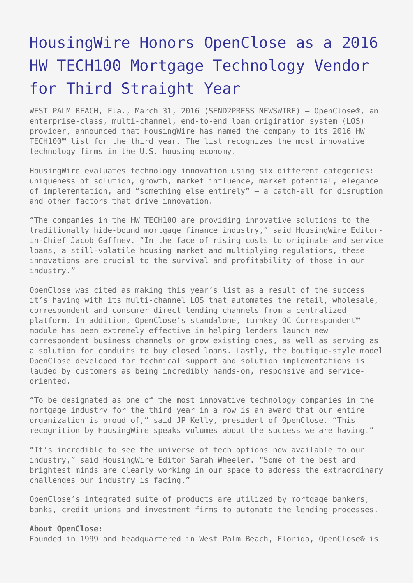## [HousingWire Honors OpenClose as a 2016](https://www.send2press.com/wire/housingwire-honors-openclose-as-a-2016-hw-tech100-mortgage-technology-vendor-for-the-third-straight-year-2016-0331-03/) [HW TECH100 Mortgage Technology Vendor](https://www.send2press.com/wire/housingwire-honors-openclose-as-a-2016-hw-tech100-mortgage-technology-vendor-for-the-third-straight-year-2016-0331-03/) [for Third Straight Year](https://www.send2press.com/wire/housingwire-honors-openclose-as-a-2016-hw-tech100-mortgage-technology-vendor-for-the-third-straight-year-2016-0331-03/)

WEST PALM BEACH, Fla., March 31, 2016 (SEND2PRESS NEWSWIRE) — OpenClose®, an enterprise-class, multi-channel, end-to-end loan origination system (LOS) provider, announced that HousingWire has named the company to its 2016 HW TECH100™ list for the third year. The list recognizes the most innovative technology firms in the U.S. housing economy.

HousingWire evaluates technology innovation using six different categories: uniqueness of solution, growth, market influence, market potential, elegance of implementation, and "something else entirely" — a catch-all for disruption and other factors that drive innovation.

"The companies in the HW TECH100 are providing innovative solutions to the traditionally hide-bound mortgage finance industry," said HousingWire Editorin-Chief Jacob Gaffney. "In the face of rising costs to originate and service loans, a still-volatile housing market and multiplying regulations, these innovations are crucial to the survival and profitability of those in our industry."

OpenClose was cited as making this year's list as a result of the success it's having with its multi-channel LOS that automates the retail, wholesale, correspondent and consumer direct lending channels from a centralized platform. In addition, OpenClose's standalone, turnkey OC Correspondent™ module has been extremely effective in helping lenders launch new correspondent business channels or grow existing ones, as well as serving as a solution for conduits to buy closed loans. Lastly, the boutique-style model OpenClose developed for technical support and solution implementations is lauded by customers as being incredibly hands-on, responsive and serviceoriented.

"To be designated as one of the most innovative technology companies in the mortgage industry for the third year in a row is an award that our entire organization is proud of," said JP Kelly, president of OpenClose. "This recognition by HousingWire speaks volumes about the success we are having."

"It's incredible to see the universe of tech options now available to our industry," said HousingWire Editor Sarah Wheeler. "Some of the best and brightest minds are clearly working in our space to address the extraordinary challenges our industry is facing."

OpenClose's integrated suite of products are utilized by mortgage bankers, banks, credit unions and investment firms to automate the lending processes.

## **About OpenClose:**

Founded in 1999 and headquartered in West Palm Beach, Florida, OpenClose® is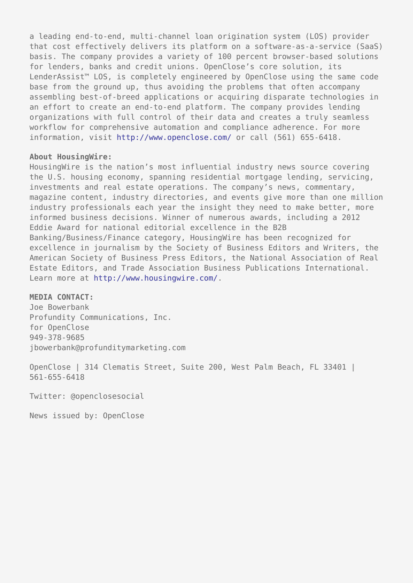a leading end-to-end, multi-channel loan origination system (LOS) provider that cost effectively delivers its platform on a software-as-a-service (SaaS) basis. The company provides a variety of 100 percent browser-based solutions for lenders, banks and credit unions. OpenClose's core solution, its LenderAssist™ LOS, is completely engineered by OpenClose using the same code base from the ground up, thus avoiding the problems that often accompany assembling best-of-breed applications or acquiring disparate technologies in an effort to create an end-to-end platform. The company provides lending organizations with full control of their data and creates a truly seamless workflow for comprehensive automation and compliance adherence. For more information, visit<http://www.openclose.com/>or call (561) 655-6418.

## **About HousingWire:**

HousingWire is the nation's most influential industry news source covering the U.S. housing economy, spanning residential mortgage lending, servicing, investments and real estate operations. The company's news, commentary, magazine content, industry directories, and events give more than one million industry professionals each year the insight they need to make better, more informed business decisions. Winner of numerous awards, including a 2012 Eddie Award for national editorial excellence in the B2B Banking/Business/Finance category, HousingWire has been recognized for excellence in journalism by the Society of Business Editors and Writers, the American Society of Business Press Editors, the National Association of Real Estate Editors, and Trade Association Business Publications International. Learn more at<http://www.housingwire.com/>.

## **MEDIA CONTACT:**

Joe Bowerbank Profundity Communications, Inc. for OpenClose 949-378-9685 jbowerbank@profunditymarketing.com

OpenClose | 314 Clematis Street, Suite 200, West Palm Beach, FL 33401 | 561-655-6418

Twitter: @openclosesocial

News issued by: OpenClose